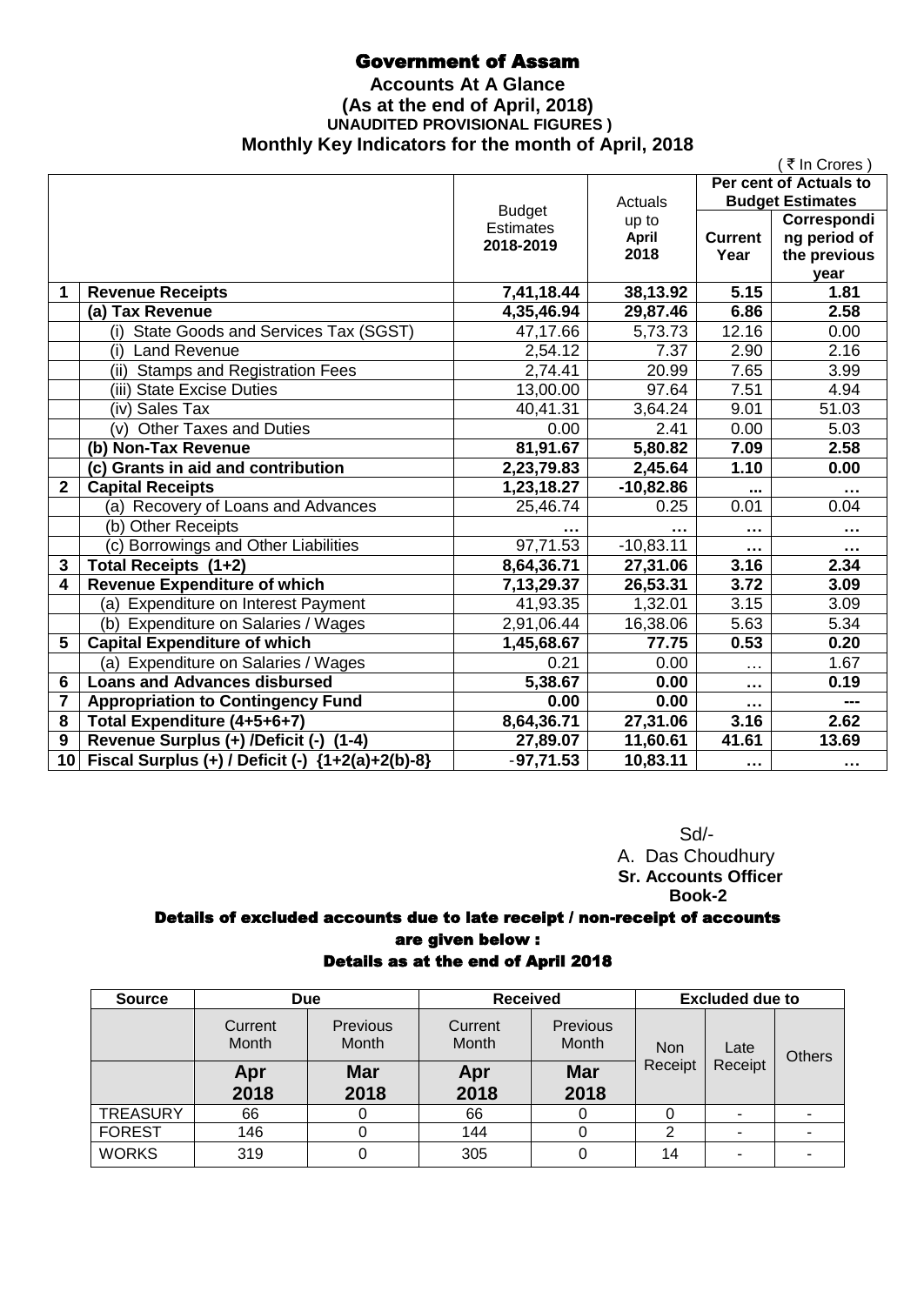## Government of Assam

### **Accounts At A Glance (As at the end of April, 2018) UNAUDITED PROVISIONAL FIGURES ) Monthly Key Indicators for the month of April, 2018**

|                 |                                                  |               |                      |                        | (₹In Crores)                 |
|-----------------|--------------------------------------------------|---------------|----------------------|------------------------|------------------------------|
|                 |                                                  |               |                      |                        | Per cent of Actuals to       |
|                 |                                                  | <b>Budget</b> | Actuals              |                        | <b>Budget Estimates</b>      |
|                 |                                                  | Estimates     | up to                |                        | Correspondi                  |
|                 |                                                  | 2018-2019     | <b>April</b><br>2018 | <b>Current</b><br>Year | ng period of<br>the previous |
|                 |                                                  |               |                      |                        | year                         |
| 1               | <b>Revenue Receipts</b>                          | 7,41,18.44    | 38,13.92             | 5.15                   | 1.81                         |
|                 | (a) Tax Revenue                                  | 4,35,46.94    | 29,87.46             | 6.86                   | 2.58                         |
|                 | (i) State Goods and Services Tax (SGST)          | 47,17.66      | 5,73.73              | 12.16                  | 0.00                         |
|                 | (i) Land Revenue                                 | 2,54.12       | 7.37                 | 2.90                   | 2.16                         |
|                 | (ii) Stamps and Registration Fees                | 2,74.41       | 20.99                | 7.65                   | 3.99                         |
|                 | (iii) State Excise Duties                        | 13,00.00      | 97.64                | 7.51                   | 4.94                         |
|                 | (iv) Sales Tax                                   | 40,41.31      | 3,64.24              | 9.01                   | 51.03                        |
|                 | Other Taxes and Duties<br>(v)                    | 0.00          | 2.41                 | 0.00                   | 5.03                         |
|                 | (b) Non-Tax Revenue                              | 81,91.67      | 5,80.82              | 7.09                   | 2.58                         |
|                 | (c) Grants in aid and contribution               | 2,23,79.83    | 2,45.64              | 1.10                   | 0.00                         |
| $\overline{2}$  | <b>Capital Receipts</b>                          | 1,23,18.27    | $-10,82.86$          |                        | $\cdots$                     |
|                 | (a) Recovery of Loans and Advances               | 25,46.74      | 0.25                 | 0.01                   | 0.04                         |
|                 | (b) Other Receipts                               |               | $\cdots$             | $\sim$                 |                              |
|                 | (c) Borrowings and Other Liabilities             | 97,71.53      | $-10,83.11$          | $\cdots$               | $\sim$ $\sim$ $\sim$         |
| 3               | Total Receipts (1+2)                             | 8,64,36.71    | 27,31.06             | 3.16                   | 2.34                         |
| 4               | <b>Revenue Expenditure of which</b>              | 7,13,29.37    | 26,53.31             | 3.72                   | 3.09                         |
|                 | (a) Expenditure on Interest Payment              | 41,93.35      | 1,32.01              | 3.15                   | 3.09                         |
|                 | (b) Expenditure on Salaries / Wages              | 2,91,06.44    | 16,38.06             | 5.63                   | 5.34                         |
| 5               | <b>Capital Expenditure of which</b>              | 1,45,68.67    | 77.75                | 0.53                   | 0.20                         |
|                 | (a) Expenditure on Salaries / Wages              | 0.21          | 0.00                 | $\cdots$               | 1.67                         |
| 6               | <b>Loans and Advances disbursed</b>              | 5,38.67       | 0.00                 | $\sim$ $\sim$ $\sim$   | 0.19                         |
| 7               | <b>Appropriation to Contingency Fund</b>         | 0.00          | 0.00                 | $\cdots$               | ---                          |
| 8               | Total Expenditure (4+5+6+7)                      | 8,64,36.71    | 27,31.06             | 3.16                   | 2.62                         |
| 9               | Revenue Surplus (+) /Deficit (-) (1-4)           | 27,89.07      | 11,60.61             | 41.61                  | 13.69                        |
| 10 <sup>1</sup> | Fiscal Surplus (+) / Deficit (-) {1+2(a)+2(b)-8} | $-97,71.53$   | 10,83.11             | $\sim 0.00$            |                              |

 Sd/- A. Das Choudhury  **Sr. Accounts Officer Book-2**

# Details of excluded accounts due to late receipt / non-receipt of accounts are given below :

| Details as at the end of April 2018 |  |  |  |  |  |  |  |
|-------------------------------------|--|--|--|--|--|--|--|
|-------------------------------------|--|--|--|--|--|--|--|

| <b>Source</b>   | <b>Due</b>       |                    | <b>Received</b>  |                    | <b>Excluded due to</b> |         |      |               |
|-----------------|------------------|--------------------|------------------|--------------------|------------------------|---------|------|---------------|
|                 | Current<br>Month | Previous<br>Month  | Current<br>Month | Previous<br>Month  | <b>Non</b>             |         | Late | <b>Others</b> |
|                 | Apr<br>2018      | <b>Mar</b><br>2018 | Apr<br>2018      | <b>Mar</b><br>2018 | Receipt                | Receipt |      |               |
| <b>TREASURY</b> | 66               |                    | 66               |                    |                        |         |      |               |
| <b>FOREST</b>   | 146              |                    | 144              |                    | 2                      | ۰       | ۰    |               |
| <b>WORKS</b>    | 319              | 0                  | 305              |                    | 14                     | ٠       |      |               |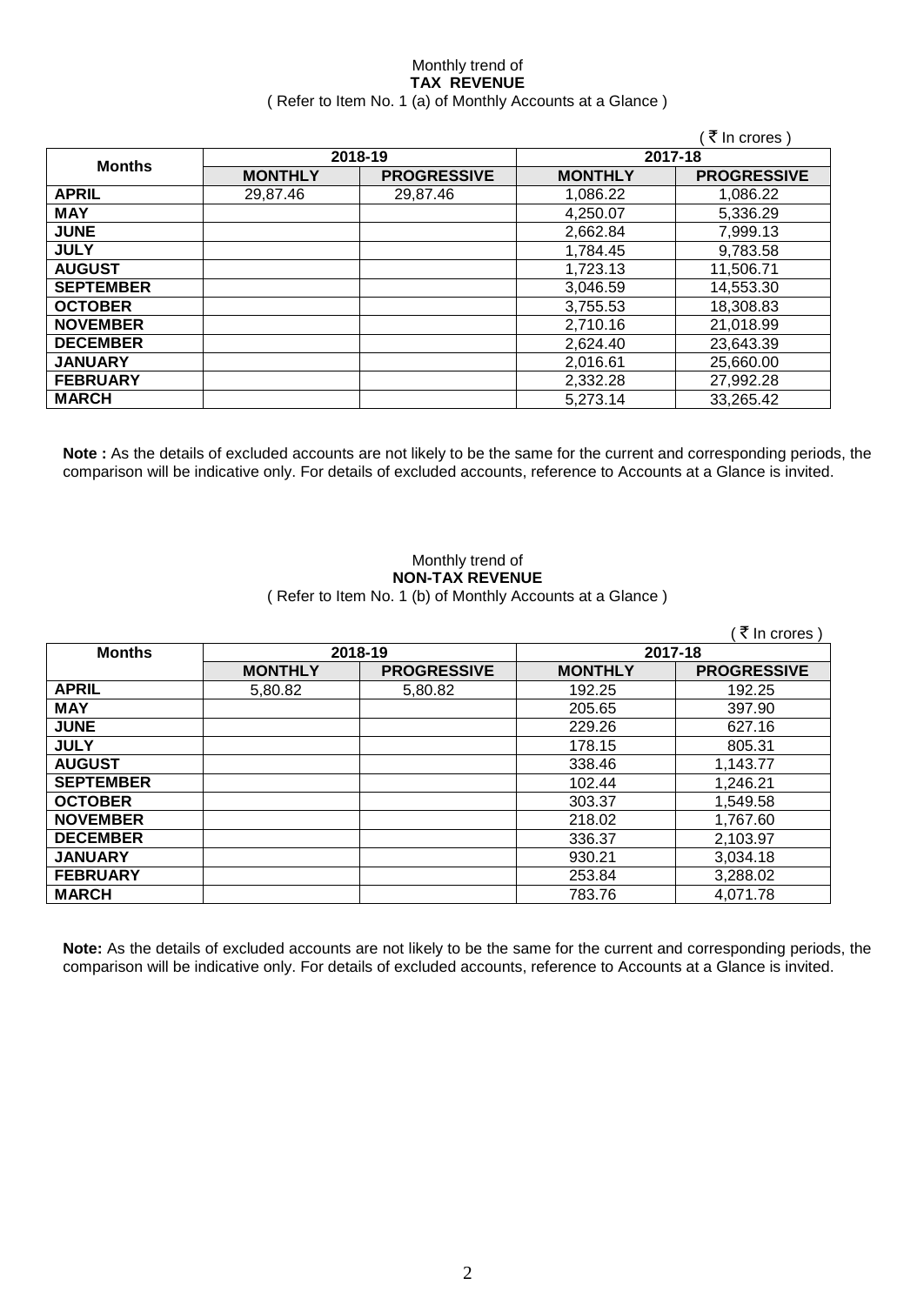#### Monthly trend of **TAX REVENUE** ( Refer to Item No. 1 (a) of Monthly Accounts at a Glance )

|                  |                |                    |                | ₹ In crores)       |  |
|------------------|----------------|--------------------|----------------|--------------------|--|
|                  |                | 2018-19            | 2017-18        |                    |  |
| <b>Months</b>    | <b>MONTHLY</b> | <b>PROGRESSIVE</b> | <b>MONTHLY</b> | <b>PROGRESSIVE</b> |  |
| <b>APRIL</b>     | 29,87.46       | 29,87.46           | 1,086.22       | 1,086.22           |  |
| <b>MAY</b>       |                |                    | 4,250.07       | 5,336.29           |  |
| <b>JUNE</b>      |                |                    | 2,662.84       | 7,999.13           |  |
| <b>JULY</b>      |                |                    | 1,784.45       | 9,783.58           |  |
| <b>AUGUST</b>    |                |                    | 1,723.13       | 11,506.71          |  |
| <b>SEPTEMBER</b> |                |                    | 3,046.59       | 14,553.30          |  |
| <b>OCTOBER</b>   |                |                    | 3,755.53       | 18,308.83          |  |
| <b>NOVEMBER</b>  |                |                    | 2,710.16       | 21,018.99          |  |
| <b>DECEMBER</b>  |                |                    | 2,624.40       | 23,643.39          |  |
| <b>JANUARY</b>   |                |                    | 2,016.61       | 25,660.00          |  |
| <b>FEBRUARY</b>  |                |                    | 2,332.28       | 27,992.28          |  |
| <b>MARCH</b>     |                |                    | 5,273.14       | 33,265.42          |  |

**Note :** As the details of excluded accounts are not likely to be the same for the current and corresponding periods, the comparison will be indicative only. For details of excluded accounts, reference to Accounts at a Glance is invited.

#### Monthly trend of **NON-TAX REVENUE** ( Refer to Item No. 1 (b) of Monthly Accounts at a Glance )

|                  |                |                    |                | ∶₹ In crores )     |  |
|------------------|----------------|--------------------|----------------|--------------------|--|
| <b>Months</b>    |                | 2018-19            | 2017-18        |                    |  |
|                  | <b>MONTHLY</b> | <b>PROGRESSIVE</b> | <b>MONTHLY</b> | <b>PROGRESSIVE</b> |  |
| <b>APRIL</b>     | 5,80.82        | 5,80.82            | 192.25         | 192.25             |  |
| <b>MAY</b>       |                |                    | 205.65         | 397.90             |  |
| <b>JUNE</b>      |                |                    | 229.26         | 627.16             |  |
| <b>JULY</b>      |                |                    | 178.15         | 805.31             |  |
| <b>AUGUST</b>    |                |                    | 338.46         | 1,143.77           |  |
| <b>SEPTEMBER</b> |                |                    | 102.44         | 1,246.21           |  |
| <b>OCTOBER</b>   |                |                    | 303.37         | 1,549.58           |  |
| <b>NOVEMBER</b>  |                |                    | 218.02         | 1,767.60           |  |
| <b>DECEMBER</b>  |                |                    | 336.37         | 2,103.97           |  |
| <b>JANUARY</b>   |                |                    | 930.21         | 3,034.18           |  |
| <b>FEBRUARY</b>  |                |                    | 253.84         | 3,288.02           |  |
| <b>MARCH</b>     |                |                    | 783.76         | 4.071.78           |  |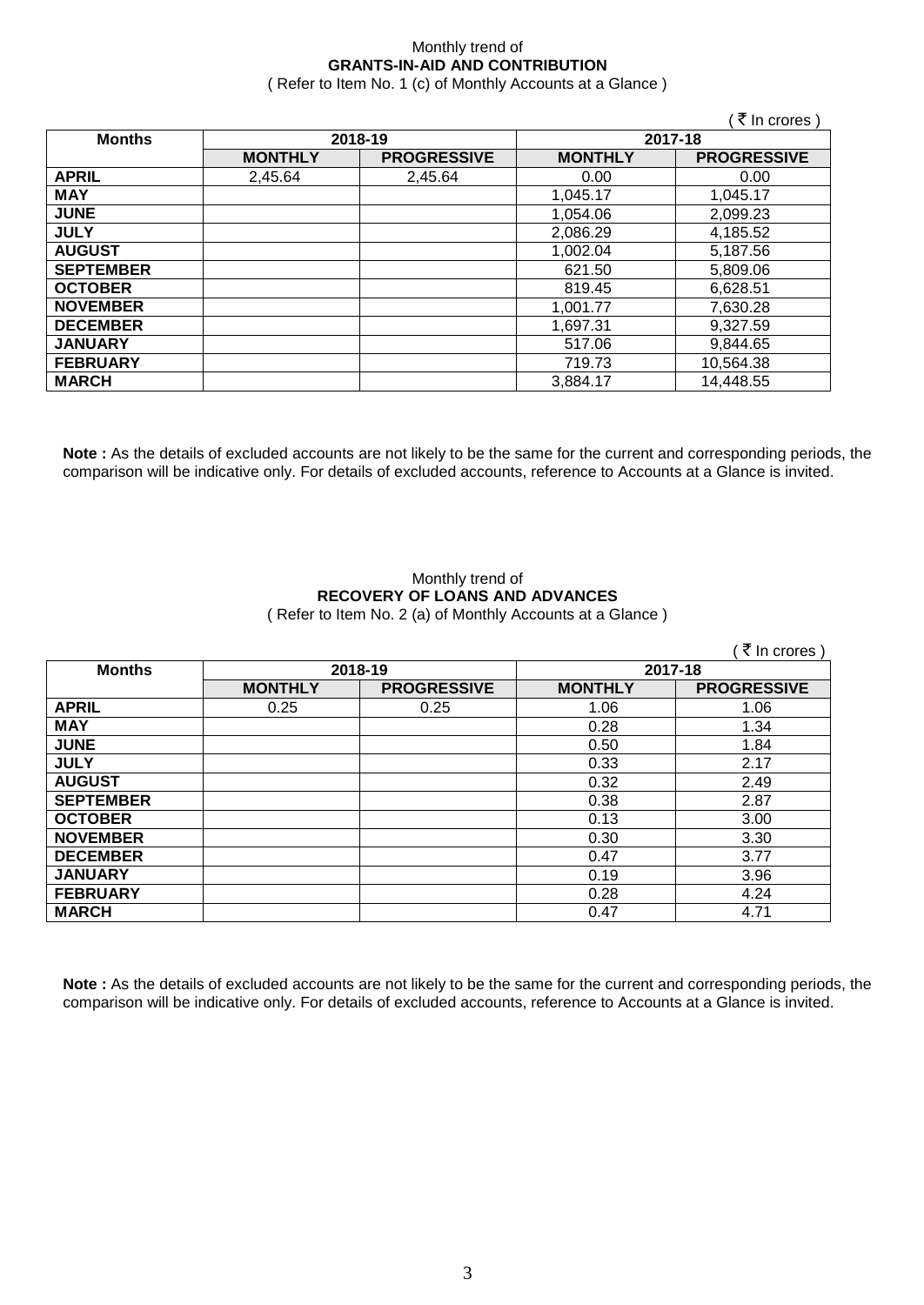## Monthly trend of **GRANTS-IN-AID AND CONTRIBUTION**

( Refer to Item No. 1 (c) of Monthly Accounts at a Glance )

 $(\bar{\bar{\zeta}})$  In crores )

| <b>Months</b>    | 2018-19        |                    | 2017-18        |                    |
|------------------|----------------|--------------------|----------------|--------------------|
|                  | <b>MONTHLY</b> | <b>PROGRESSIVE</b> | <b>MONTHLY</b> | <b>PROGRESSIVE</b> |
| <b>APRIL</b>     | 2,45.64        | 2,45.64            | 0.00           | 0.00               |
| <b>MAY</b>       |                |                    | 1,045.17       | 1,045.17           |
| <b>JUNE</b>      |                |                    | 1,054.06       | 2,099.23           |
| <b>JULY</b>      |                |                    | 2,086.29       | 4,185.52           |
| <b>AUGUST</b>    |                |                    | 1,002.04       | 5,187.56           |
| <b>SEPTEMBER</b> |                |                    | 621.50         | 5,809.06           |
| <b>OCTOBER</b>   |                |                    | 819.45         | 6,628.51           |
| <b>NOVEMBER</b>  |                |                    | 1.001.77       | 7,630.28           |
| <b>DECEMBER</b>  |                |                    | 1,697.31       | 9,327.59           |
| <b>JANUARY</b>   |                |                    | 517.06         | 9,844.65           |
| <b>FEBRUARY</b>  |                |                    | 719.73         | 10,564.38          |
| <b>MARCH</b>     |                |                    | 3,884.17       | 14,448.55          |

**Note :** As the details of excluded accounts are not likely to be the same for the current and corresponding periods, the comparison will be indicative only. For details of excluded accounts, reference to Accounts at a Glance is invited.

#### Monthly trend of **RECOVERY OF LOANS AND ADVANCES** ( Refer to Item No. 2 (a) of Monthly Accounts at a Glance )

|                  |                |                    |                | ∶ ₹ In crores)     |
|------------------|----------------|--------------------|----------------|--------------------|
| <b>Months</b>    | 2018-19        |                    | 2017-18        |                    |
|                  | <b>MONTHLY</b> | <b>PROGRESSIVE</b> | <b>MONTHLY</b> | <b>PROGRESSIVE</b> |
| <b>APRIL</b>     | 0.25           | 0.25               | 1.06           | 1.06               |
| <b>MAY</b>       |                |                    | 0.28           | 1.34               |
| <b>JUNE</b>      |                |                    | 0.50           | 1.84               |
| <b>JULY</b>      |                |                    | 0.33           | 2.17               |
| <b>AUGUST</b>    |                |                    | 0.32           | 2.49               |
| <b>SEPTEMBER</b> |                |                    | 0.38           | 2.87               |
| <b>OCTOBER</b>   |                |                    | 0.13           | 3.00               |
| <b>NOVEMBER</b>  |                |                    | 0.30           | 3.30               |
| <b>DECEMBER</b>  |                |                    | 0.47           | 3.77               |
| <b>JANUARY</b>   |                |                    | 0.19           | 3.96               |
| <b>FEBRUARY</b>  |                |                    | 0.28           | 4.24               |
| <b>MARCH</b>     |                |                    | 0.47           | 4.71               |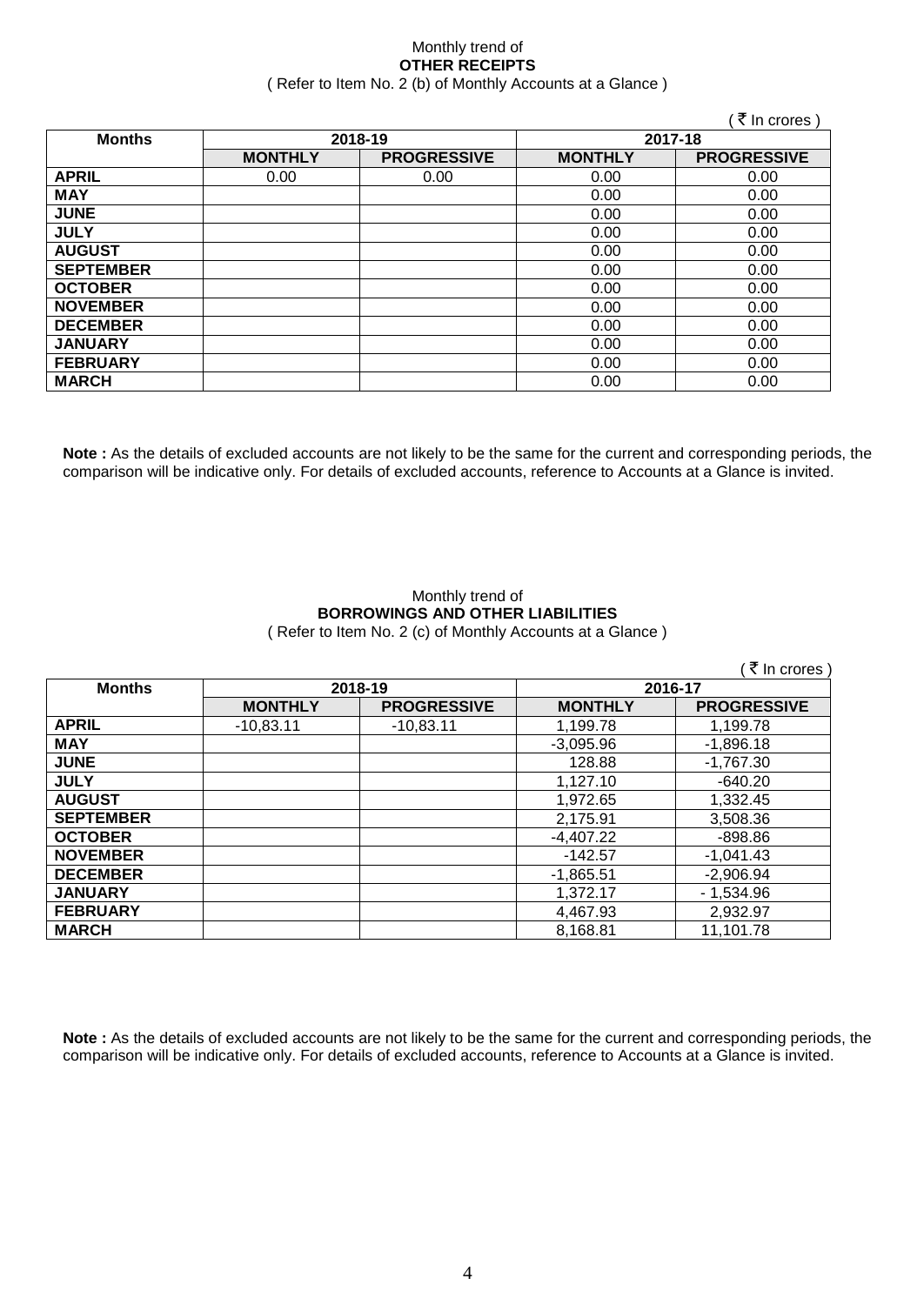#### Monthly trend of **OTHER RECEIPTS** ( Refer to Item No. 2 (b) of Monthly Accounts at a Glance )

 $\sqrt{7}$  In crores )

| <b>Months</b>    | 2018-19        |                    | 2017-18        |                    |
|------------------|----------------|--------------------|----------------|--------------------|
|                  | <b>MONTHLY</b> | <b>PROGRESSIVE</b> | <b>MONTHLY</b> | <b>PROGRESSIVE</b> |
| <b>APRIL</b>     | 0.00           | 0.00               | 0.00           | 0.00               |
| <b>MAY</b>       |                |                    | 0.00           | 0.00               |
| <b>JUNE</b>      |                |                    | 0.00           | 0.00               |
| <b>JULY</b>      |                |                    | 0.00           | 0.00               |
| <b>AUGUST</b>    |                |                    | 0.00           | 0.00               |
| <b>SEPTEMBER</b> |                |                    | 0.00           | 0.00               |
| <b>OCTOBER</b>   |                |                    | 0.00           | 0.00               |
| <b>NOVEMBER</b>  |                |                    | 0.00           | 0.00               |
| <b>DECEMBER</b>  |                |                    | 0.00           | 0.00               |
| <b>JANUARY</b>   |                |                    | 0.00           | 0.00               |
| <b>FEBRUARY</b>  |                |                    | 0.00           | 0.00               |
| <b>MARCH</b>     |                |                    | 0.00           | 0.00               |

**Note :** As the details of excluded accounts are not likely to be the same for the current and corresponding periods, the comparison will be indicative only. For details of excluded accounts, reference to Accounts at a Glance is invited.

#### Monthly trend of **BORROWINGS AND OTHER LIABILITIES** ( Refer to Item No. 2 (c) of Monthly Accounts at a Glance )

|                  |                |                    |                | (₹ In crores)      |  |
|------------------|----------------|--------------------|----------------|--------------------|--|
| <b>Months</b>    | 2018-19        |                    | 2016-17        |                    |  |
|                  | <b>MONTHLY</b> | <b>PROGRESSIVE</b> | <b>MONTHLY</b> | <b>PROGRESSIVE</b> |  |
| <b>APRIL</b>     | $-10,83.11$    | $-10,83.11$        | 1,199.78       | 1,199.78           |  |
| <b>MAY</b>       |                |                    | $-3,095.96$    | $-1,896.18$        |  |
| <b>JUNE</b>      |                |                    | 128.88         | $-1,767.30$        |  |
| <b>JULY</b>      |                |                    | 1,127.10       | $-640.20$          |  |
| <b>AUGUST</b>    |                |                    | 1,972.65       | 1,332.45           |  |
| <b>SEPTEMBER</b> |                |                    | 2,175.91       | 3,508.36           |  |
| <b>OCTOBER</b>   |                |                    | $-4,407.22$    | $-898.86$          |  |
| <b>NOVEMBER</b>  |                |                    | $-142.57$      | $-1.041.43$        |  |
| <b>DECEMBER</b>  |                |                    | $-1,865.51$    | $-2,906.94$        |  |
| <b>JANUARY</b>   |                |                    | 1,372.17       | $-1,534.96$        |  |
| <b>FEBRUARY</b>  |                |                    | 4,467.93       | 2,932.97           |  |
| <b>MARCH</b>     |                |                    | 8.168.81       | 11.101.78          |  |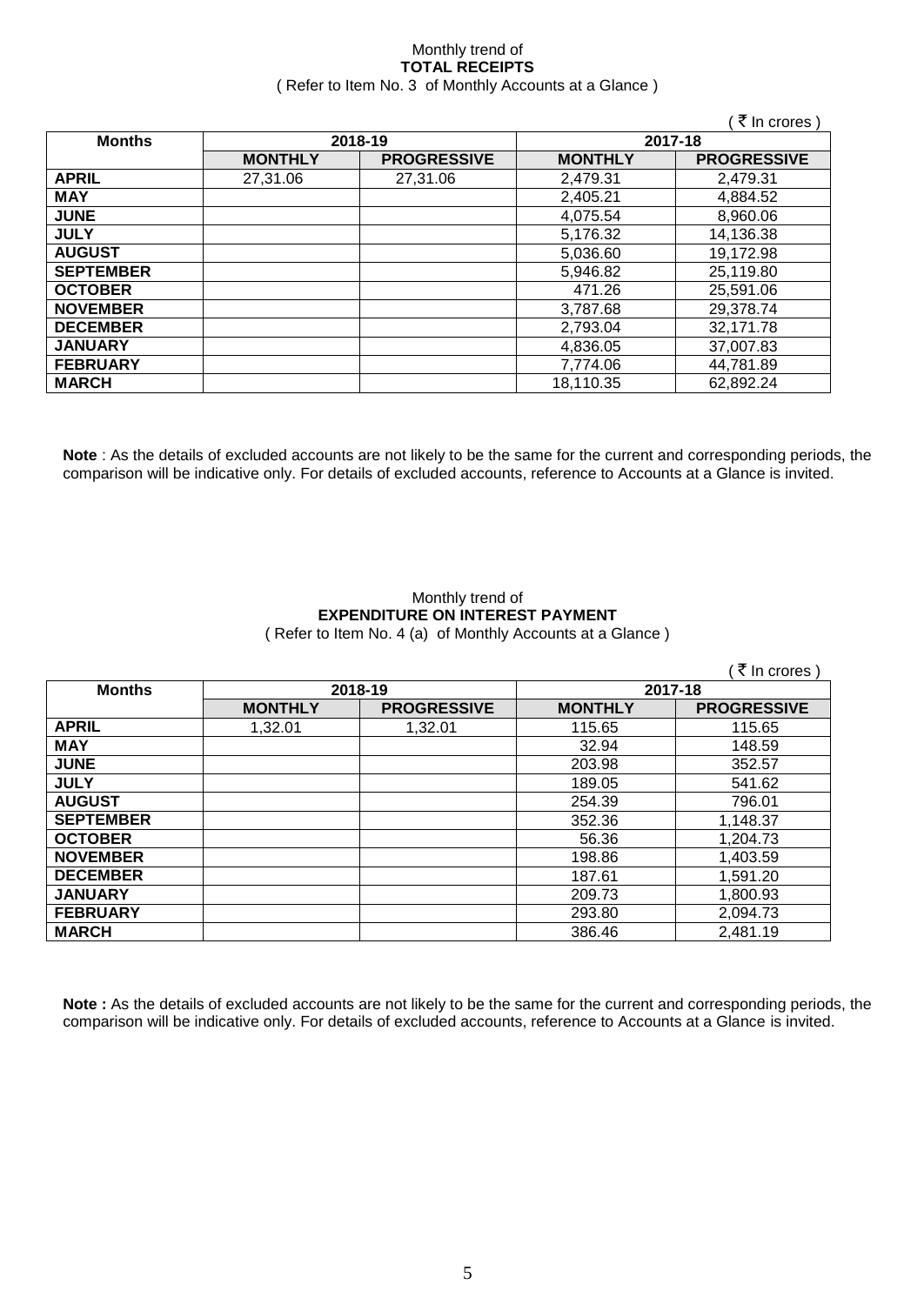#### Monthly trend of **TOTAL RECEIPTS** ( Refer to Item No. 3 of Monthly Accounts at a Glance )

|                  |                |                    |                | ( ₹ In crores )    |
|------------------|----------------|--------------------|----------------|--------------------|
| <b>Months</b>    |                | 2018-19            |                | 2017-18            |
|                  | <b>MONTHLY</b> | <b>PROGRESSIVE</b> | <b>MONTHLY</b> | <b>PROGRESSIVE</b> |
| <b>APRIL</b>     | 27,31.06       | 27,31.06           | 2,479.31       | 2,479.31           |
| <b>MAY</b>       |                |                    | 2,405.21       | 4,884.52           |
| <b>JUNE</b>      |                |                    | 4,075.54       | 8,960.06           |
| <b>JULY</b>      |                |                    | 5,176.32       | 14,136.38          |
| <b>AUGUST</b>    |                |                    | 5,036.60       | 19,172.98          |
| <b>SEPTEMBER</b> |                |                    | 5,946.82       | 25,119.80          |
| <b>OCTOBER</b>   |                |                    | 471.26         | 25,591.06          |
| <b>NOVEMBER</b>  |                |                    | 3,787.68       | 29,378.74          |
| <b>DECEMBER</b>  |                |                    | 2,793.04       | 32,171.78          |
| <b>JANUARY</b>   |                |                    | 4,836.05       | 37,007.83          |
| <b>FEBRUARY</b>  |                |                    | 7,774.06       | 44,781.89          |
| <b>MARCH</b>     |                |                    | 18,110.35      | 62,892.24          |

**Note** : As the details of excluded accounts are not likely to be the same for the current and corresponding periods, the comparison will be indicative only. For details of excluded accounts, reference to Accounts at a Glance is invited.

#### Monthly trend of **EXPENDITURE ON INTEREST PAYMENT** ( Refer to Item No. 4 (a) of Monthly Accounts at a Glance )

|                  |                |                    |                | (₹ In crores)      |
|------------------|----------------|--------------------|----------------|--------------------|
| <b>Months</b>    |                | 2018-19            | 2017-18        |                    |
|                  | <b>MONTHLY</b> | <b>PROGRESSIVE</b> | <b>MONTHLY</b> | <b>PROGRESSIVE</b> |
| <b>APRIL</b>     | 1,32.01        | 1,32.01            | 115.65         | 115.65             |
| <b>MAY</b>       |                |                    | 32.94          | 148.59             |
| <b>JUNE</b>      |                |                    | 203.98         | 352.57             |
| <b>JULY</b>      |                |                    | 189.05         | 541.62             |
| <b>AUGUST</b>    |                |                    | 254.39         | 796.01             |
| <b>SEPTEMBER</b> |                |                    | 352.36         | 1,148.37           |
| <b>OCTOBER</b>   |                |                    | 56.36          | 1,204.73           |
| <b>NOVEMBER</b>  |                |                    | 198.86         | 1,403.59           |
| <b>DECEMBER</b>  |                |                    | 187.61         | 1,591.20           |
| <b>JANUARY</b>   |                |                    | 209.73         | 1,800.93           |
| <b>FEBRUARY</b>  |                |                    | 293.80         | 2,094.73           |
| <b>MARCH</b>     |                |                    | 386.46         | 2,481.19           |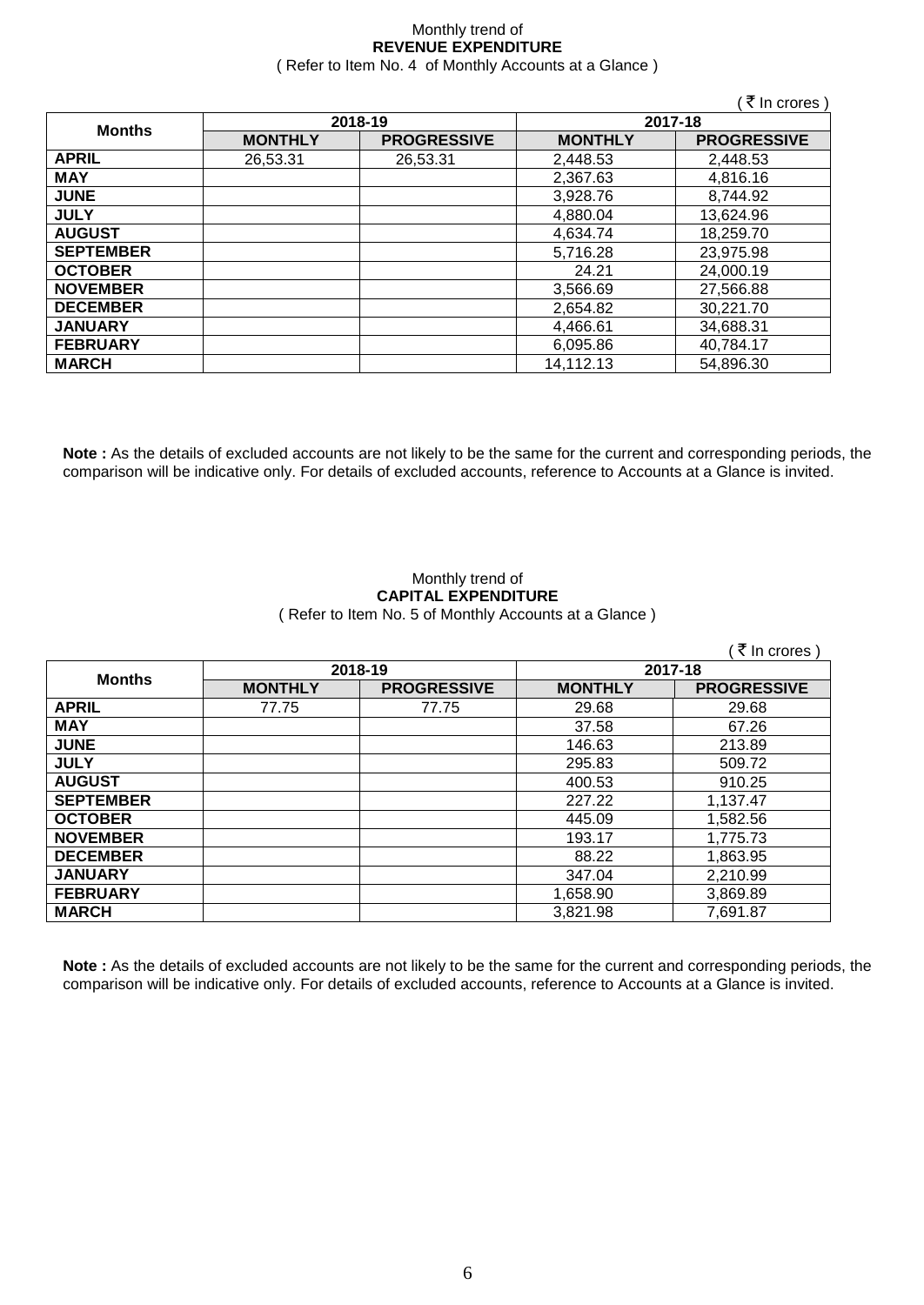#### Monthly trend of **REVENUE EXPENDITURE** ( Refer to Item No. 4 of Monthly Accounts at a Glance )

|                  |                |                    |                | ( ₹ In crores )    |  |
|------------------|----------------|--------------------|----------------|--------------------|--|
|                  |                | 2018-19            | 2017-18        |                    |  |
| <b>Months</b>    | <b>MONTHLY</b> | <b>PROGRESSIVE</b> | <b>MONTHLY</b> | <b>PROGRESSIVE</b> |  |
| <b>APRIL</b>     | 26,53.31       | 26,53.31           | 2,448.53       | 2,448.53           |  |
| <b>MAY</b>       |                |                    | 2,367.63       | 4,816.16           |  |
| <b>JUNE</b>      |                |                    | 3,928.76       | 8,744.92           |  |
| <b>JULY</b>      |                |                    | 4,880.04       | 13,624.96          |  |
| <b>AUGUST</b>    |                |                    | 4,634.74       | 18,259.70          |  |
| <b>SEPTEMBER</b> |                |                    | 5,716.28       | 23,975.98          |  |
| <b>OCTOBER</b>   |                |                    | 24.21          | 24,000.19          |  |
| <b>NOVEMBER</b>  |                |                    | 3,566.69       | 27,566.88          |  |
| <b>DECEMBER</b>  |                |                    | 2,654.82       | 30,221.70          |  |
| <b>JANUARY</b>   |                |                    | 4,466.61       | 34,688.31          |  |
| <b>FEBRUARY</b>  |                |                    | 6,095.86       | 40,784.17          |  |
| <b>MARCH</b>     |                |                    | 14,112.13      | 54,896.30          |  |

**Note :** As the details of excluded accounts are not likely to be the same for the current and corresponding periods, the comparison will be indicative only. For details of excluded accounts, reference to Accounts at a Glance is invited.

#### Monthly trend of **CAPITAL EXPENDITURE**  ( Refer to Item No. 5 of Monthly Accounts at a Glance )

|                  |                |                    |                | (₹ In crores)      |
|------------------|----------------|--------------------|----------------|--------------------|
| <b>Months</b>    | 2018-19        |                    | 2017-18        |                    |
|                  | <b>MONTHLY</b> | <b>PROGRESSIVE</b> | <b>MONTHLY</b> | <b>PROGRESSIVE</b> |
| <b>APRIL</b>     | 77.75          | 77.75              | 29.68          | 29.68              |
| <b>MAY</b>       |                |                    | 37.58          | 67.26              |
| <b>JUNE</b>      |                |                    | 146.63         | 213.89             |
| <b>JULY</b>      |                |                    | 295.83         | 509.72             |
| <b>AUGUST</b>    |                |                    | 400.53         | 910.25             |
| <b>SEPTEMBER</b> |                |                    | 227.22         | 1,137.47           |
| <b>OCTOBER</b>   |                |                    | 445.09         | 1,582.56           |
| <b>NOVEMBER</b>  |                |                    | 193.17         | 1,775.73           |
| <b>DECEMBER</b>  |                |                    | 88.22          | 1,863.95           |
| <b>JANUARY</b>   |                |                    | 347.04         | 2,210.99           |
| <b>FEBRUARY</b>  |                |                    | 1,658.90       | 3,869.89           |
| <b>MARCH</b>     |                |                    | 3,821.98       | 7,691.87           |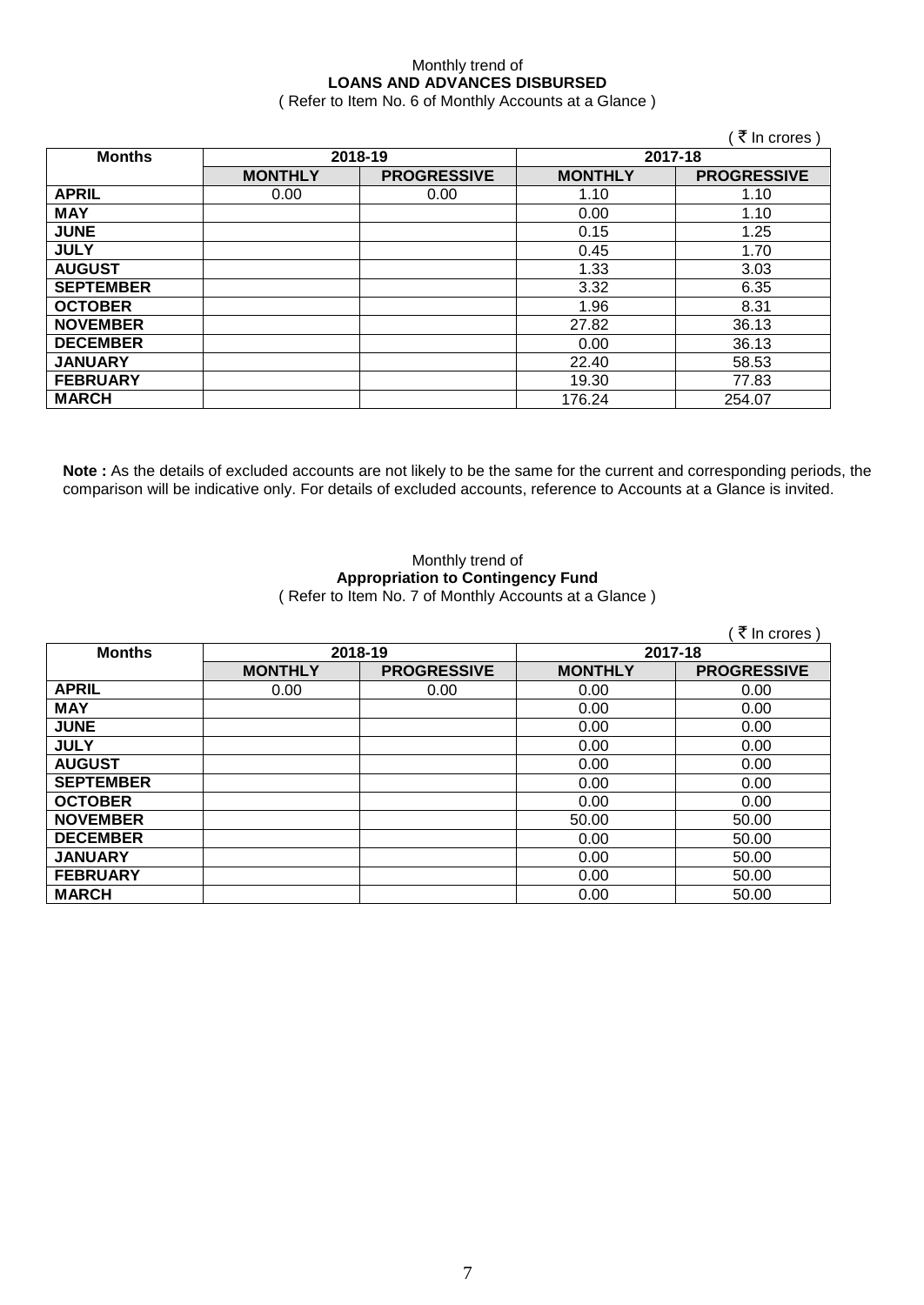## Monthly trend of **LOANS AND ADVANCES DISBURSED**

( Refer to Item No. 6 of Monthly Accounts at a Glance )

|                  |                |                    |                | (₹ In crores)      |
|------------------|----------------|--------------------|----------------|--------------------|
| <b>Months</b>    | 2018-19        |                    | 2017-18        |                    |
|                  | <b>MONTHLY</b> | <b>PROGRESSIVE</b> | <b>MONTHLY</b> | <b>PROGRESSIVE</b> |
| <b>APRIL</b>     | 0.00           | 0.00               | 1.10           | 1.10               |
| <b>MAY</b>       |                |                    | 0.00           | 1.10               |
| <b>JUNE</b>      |                |                    | 0.15           | 1.25               |
| <b>JULY</b>      |                |                    | 0.45           | 1.70               |
| <b>AUGUST</b>    |                |                    | 1.33           | 3.03               |
| <b>SEPTEMBER</b> |                |                    | 3.32           | 6.35               |
| <b>OCTOBER</b>   |                |                    | 1.96           | 8.31               |
| <b>NOVEMBER</b>  |                |                    | 27.82          | 36.13              |
| <b>DECEMBER</b>  |                |                    | 0.00           | 36.13              |
| <b>JANUARY</b>   |                |                    | 22.40          | 58.53              |
| <b>FEBRUARY</b>  |                |                    | 19.30          | 77.83              |
| <b>MARCH</b>     |                |                    | 176.24         | 254.07             |

**Note :** As the details of excluded accounts are not likely to be the same for the current and corresponding periods, the comparison will be indicative only. For details of excluded accounts, reference to Accounts at a Glance is invited.

#### Monthly trend of **Appropriation to Contingency Fund** ( Refer to Item No. 7 of Monthly Accounts at a Glance )

|                  |                |                    |                | ∶ ₹ In crores )    |  |
|------------------|----------------|--------------------|----------------|--------------------|--|
| <b>Months</b>    | 2018-19        |                    |                | 2017-18            |  |
|                  | <b>MONTHLY</b> | <b>PROGRESSIVE</b> | <b>MONTHLY</b> | <b>PROGRESSIVE</b> |  |
| <b>APRIL</b>     | 0.00           | 0.00               | 0.00           | 0.00               |  |
| <b>MAY</b>       |                |                    | 0.00           | 0.00               |  |
| <b>JUNE</b>      |                |                    | 0.00           | 0.00               |  |
| <b>JULY</b>      |                |                    | 0.00           | 0.00               |  |
| <b>AUGUST</b>    |                |                    | 0.00           | 0.00               |  |
| <b>SEPTEMBER</b> |                |                    | 0.00           | 0.00               |  |
| <b>OCTOBER</b>   |                |                    | 0.00           | 0.00               |  |
| <b>NOVEMBER</b>  |                |                    | 50.00          | 50.00              |  |
| <b>DECEMBER</b>  |                |                    | 0.00           | 50.00              |  |
| <b>JANUARY</b>   |                |                    | 0.00           | 50.00              |  |
| <b>FEBRUARY</b>  |                |                    | 0.00           | 50.00              |  |
| <b>MARCH</b>     |                |                    | 0.00           | 50.00              |  |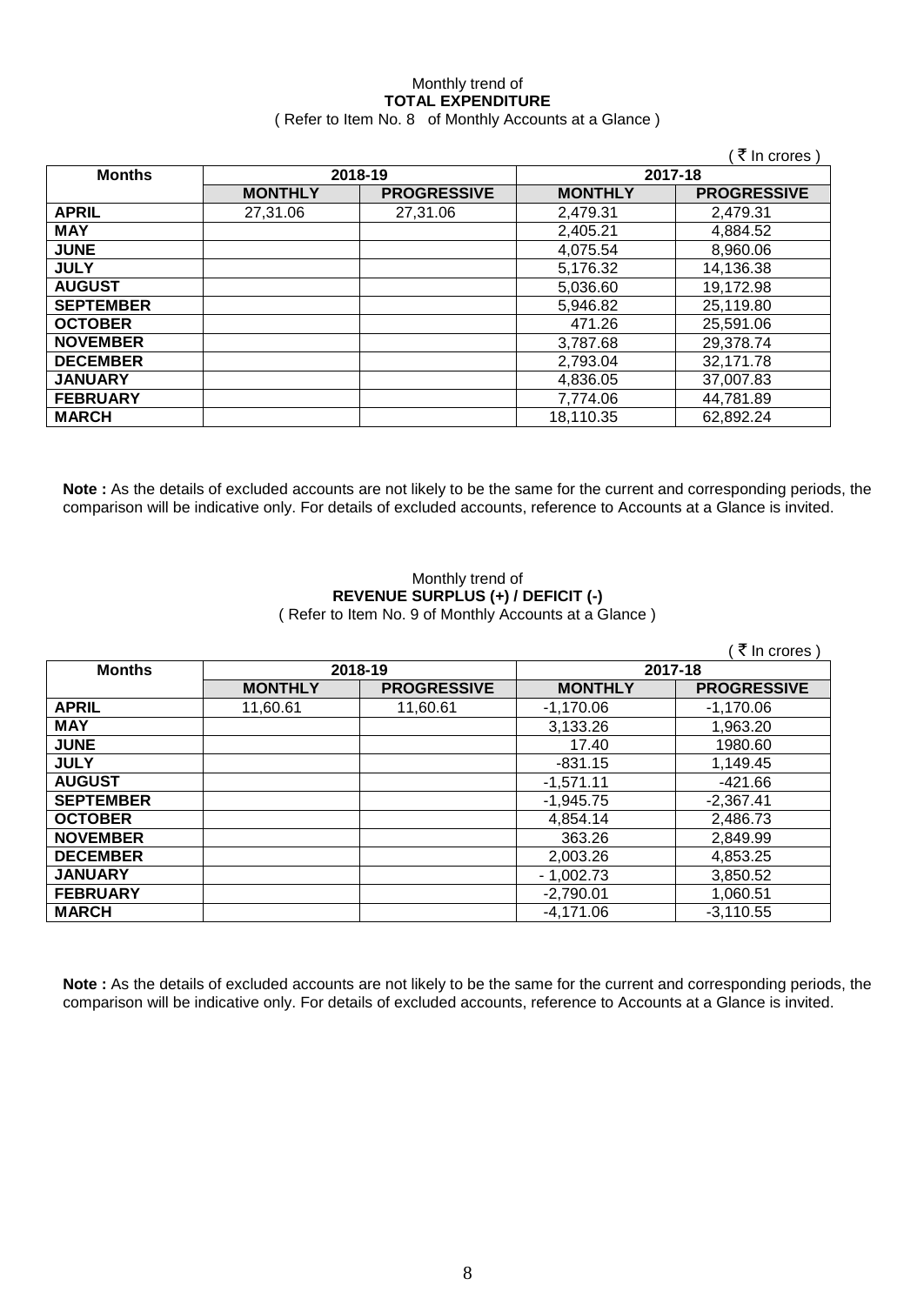#### Monthly trend of **TOTAL EXPENDITURE** ( Refer to Item No. 8 of Monthly Accounts at a Glance )

|                  |                |                    |                | ∶₹ In crores )     |
|------------------|----------------|--------------------|----------------|--------------------|
| <b>Months</b>    | 2018-19        |                    | 2017-18        |                    |
|                  | <b>MONTHLY</b> | <b>PROGRESSIVE</b> | <b>MONTHLY</b> | <b>PROGRESSIVE</b> |
| <b>APRIL</b>     | 27,31.06       | 27,31.06           | 2,479.31       | 2,479.31           |
| <b>MAY</b>       |                |                    | 2,405.21       | 4,884.52           |
| <b>JUNE</b>      |                |                    | 4,075.54       | 8,960.06           |
| <b>JULY</b>      |                |                    | 5,176.32       | 14,136.38          |
| <b>AUGUST</b>    |                |                    | 5,036.60       | 19,172.98          |
| <b>SEPTEMBER</b> |                |                    | 5,946.82       | 25,119.80          |
| <b>OCTOBER</b>   |                |                    | 471.26         | 25,591.06          |
| <b>NOVEMBER</b>  |                |                    | 3,787.68       | 29,378.74          |
| <b>DECEMBER</b>  |                |                    | 2,793.04       | 32,171.78          |
| <b>JANUARY</b>   |                |                    | 4,836.05       | 37,007.83          |
| <b>FEBRUARY</b>  |                |                    | 7,774.06       | 44,781.89          |
| <b>MARCH</b>     |                |                    | 18,110.35      | 62,892.24          |

**Note :** As the details of excluded accounts are not likely to be the same for the current and corresponding periods, the comparison will be indicative only. For details of excluded accounts, reference to Accounts at a Glance is invited.

#### Monthly trend of **REVENUE SURPLUS (+) / DEFICIT (-)** ( Refer to Item No. 9 of Monthly Accounts at a Glance )

|                  | (₹ In crores)  |                    |                |                    |
|------------------|----------------|--------------------|----------------|--------------------|
| <b>Months</b>    | 2018-19        |                    | 2017-18        |                    |
|                  | <b>MONTHLY</b> | <b>PROGRESSIVE</b> | <b>MONTHLY</b> | <b>PROGRESSIVE</b> |
| <b>APRIL</b>     | 11,60.61       | 11,60.61           | $-1,170.06$    | $-1,170.06$        |
| <b>MAY</b>       |                |                    | 3,133.26       | 1,963.20           |
| <b>JUNE</b>      |                |                    | 17.40          | 1980.60            |
| <b>JULY</b>      |                |                    | $-831.15$      | 1,149.45           |
| <b>AUGUST</b>    |                |                    | $-1,571.11$    | $-421.66$          |
| <b>SEPTEMBER</b> |                |                    | $-1,945.75$    | $-2,367.41$        |
| <b>OCTOBER</b>   |                |                    | 4,854.14       | 2,486.73           |
| <b>NOVEMBER</b>  |                |                    | 363.26         | 2,849.99           |
| <b>DECEMBER</b>  |                |                    | 2,003.26       | 4,853.25           |
| <b>JANUARY</b>   |                |                    | $-1,002.73$    | 3,850.52           |
| <b>FEBRUARY</b>  |                |                    | $-2,790.01$    | 1,060.51           |
| <b>MARCH</b>     |                |                    | $-4,171.06$    | $-3,110.55$        |